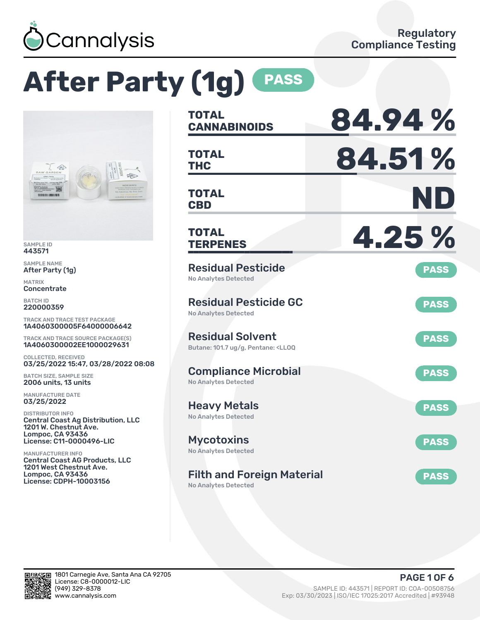

# **After Party (1g) PASS**



SAMPLE ID 443571

SAMPLE NAME After Party (1g)

MATRIX Concentrate

BATCH ID 220000359

TRACK AND TRACE TEST PACKAGE 1A4060300005F64000006642

TRACK AND TRACE SOURCE PACKAGE(S) 1A4060300002EE1000029631

COLLECTED, RECEIVED 03/25/2022 15:47, 03/28/2022 08:08

BATCH SIZE, SAMPLE SIZE 2006 units, 13 units

MANUFACTURE DATE 03/25/2022

DISTRIBUTOR INFO Central Coast Ag Distribution, LLC 1201 W. Chestnut Ave. Lompoc, CA 93436 License: C11-0000496-LIC

MANUFACTURER INFO Central Coast AG Products, LLC 1201 West Chestnut Ave. Lompoc, CA 93436 License: CDPH-10003156

| <b>TOTAL</b><br><b>CANNABINOIDS</b>                                                               | 84.94%      |
|---------------------------------------------------------------------------------------------------|-------------|
| <b>TOTAL</b><br><b>THC</b>                                                                        | 84.51%      |
| TOTAL<br><b>CBD</b>                                                                               | ND          |
| <b>TOTAL</b><br><b>TERPENES</b>                                                                   | 4.25 %      |
| <b>Residual Pesticide</b><br>No Analytes Detected                                                 | <b>PASS</b> |
| <b>Residual Pesticide GC</b><br><b>No Analytes Detected</b>                                       | <b>PASS</b> |
| <b>Residual Solvent</b><br>Butane: 101.7 ug/g, Pentane: <ll0q< td=""><td><b>PASS</b></td></ll0q<> | <b>PASS</b> |
| <b>Compliance Microbial</b><br><b>No Analytes Detected</b>                                        | <b>PASS</b> |
| <b>Heavy Metals</b><br><b>No Analytes Detected</b>                                                | <b>PASS</b> |
| Mycotoxins<br>No Analytes Detected                                                                | <b>PASS</b> |
| <b>Filth and Foreign Material</b>                                                                 | <b>PASS</b> |

No Analytes Detected

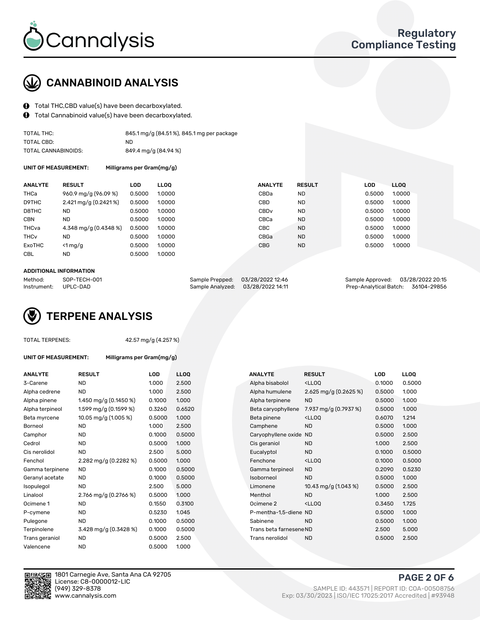

### CANNABINOID ANALYSIS

- Total THC,CBD value(s) have been decarboxylated.
- Total Cannabinoid value(s) have been decarboxylated.  $\mathbf{\Theta}$

| TOTAL THC:          | 845.1 mg/g (84.51%), 845.1 mg per package |
|---------------------|-------------------------------------------|
| TOTAL CBD:          | ND.                                       |
| TOTAL CANNABINOIDS: | 849.4 mg/g (84.94 %)                      |

UNIT OF MEASUREMENT: Milligrams per Gram(mg/g)

| <b>RESULT</b>                       | <b>LLOO</b>                                                                         | <b>ANALYTE</b>   | <b>RESULT</b> | <b>LOD</b> | LL <sub>00</sub> |
|-------------------------------------|-------------------------------------------------------------------------------------|------------------|---------------|------------|------------------|
| 960.9 mg/g (96.09 %)                | 1.0000                                                                              | CBDa             | <b>ND</b>     | 0.5000     | 1.0000           |
| $2.421 \,\mathrm{mag/g}$ (0.2421 %) | 1.0000                                                                              | CBD              | <b>ND</b>     | 0.5000     | 1.0000           |
| <b>ND</b>                           | 1.0000                                                                              | CBD <sub>v</sub> | <b>ND</b>     | 0.5000     | 1.0000           |
| <b>ND</b>                           | 1.0000                                                                              | CBCa             | <b>ND</b>     | 0.5000     | 1.0000           |
| 4.348 mg/g (0.4348 %)               | 1.0000                                                                              | CBC              | <b>ND</b>     | 0.5000     | 1.0000           |
| <b>ND</b>                           | 1.0000                                                                              | CBGa             | <b>ND</b>     | 0.5000     | 1.0000           |
| $<$ 1 mg/g                          | 1.0000                                                                              | <b>CBG</b>       | <b>ND</b>     | 0.5000     | 1.0000           |
| <b>ND</b>                           | 1.0000                                                                              |                  |               |            |                  |
|                                     | LOD<br>0.5000<br>0.5000<br>0.5000<br>0.5000<br>0.5000<br>0.5000<br>0.5000<br>0.5000 |                  |               |            |                  |

#### ADDITIONAL INFORMATION

| Method:              | SOP-TECH-001 |                                   | Sample Prepped: 03/28/2022 12:46 | Sample Approved: 03/28/2022 20:15  |  |
|----------------------|--------------|-----------------------------------|----------------------------------|------------------------------------|--|
| Instrument: UPLC-DAD |              | Sample Analyzed: 03/28/2022 14:11 |                                  | Prep-Analytical Batch: 36104-29856 |  |

### TERPENE ANALYSIS

| <b>TOTAL TERPENES:</b> |
|------------------------|
|------------------------|

42.57 mg/g (4.257 %)

|  | UNIT OF MEASUREMENT: |  |
|--|----------------------|--|

Milligrams per Gram(mg/g)

| <b>ANALYTE</b>  | <b>RESULT</b>           | <b>LOD</b> | <b>LLOQ</b> |  | <b>ANALYTE</b>          | <b>RESULT</b>                                      | <b>LOD</b> | <b>LLOQ</b> |
|-----------------|-------------------------|------------|-------------|--|-------------------------|----------------------------------------------------|------------|-------------|
| 3-Carene        | <b>ND</b>               | 1.000      | 2.500       |  | Alpha bisabolol         | <ll0q< td=""><td>0.1000</td><td>0.500</td></ll0q<> | 0.1000     | 0.500       |
| Alpha cedrene   | ND.                     | 1.000      | 2.500       |  | Alpha humulene          | 2.625 mg/g $(0.2625\%)$                            | 0.5000     | 1.000       |
| Alpha pinene    | 1.450 mg/g $(0.1450\%)$ | 0.1000     | 1.000       |  | Alpha terpinene         | <b>ND</b>                                          | 0.5000     | 1.000       |
| Alpha terpineol | 1.599 mg/g (0.1599 %)   | 0.3260     | 0.6520      |  | Beta caryophyllene      | 7.937 mg/g (0.7937 %)                              | 0.5000     | 1.000       |
| Beta myrcene    | 10.05 mg/g (1.005 %)    | 0.5000     | 1.000       |  | Beta pinene             | <ll0q< td=""><td>0.6070</td><td>1.214</td></ll0q<> | 0.6070     | 1.214       |
| Borneol         | <b>ND</b>               | 1.000      | 2.500       |  | Camphene                | <b>ND</b>                                          | 0.5000     | 1.000       |
| Camphor         | ND.                     | 0.1000     | 0.5000      |  | Caryophyllene oxide     | <b>ND</b>                                          | 0.5000     | 2.500       |
| Cedrol          | <b>ND</b>               | 0.5000     | 1.000       |  | Cis geraniol            | <b>ND</b>                                          | 1.000      | 2.500       |
| Cis nerolidol   | <b>ND</b>               | 2.500      | 5.000       |  | Eucalyptol              | <b>ND</b>                                          | 0.1000     | 0.500       |
| Fenchol         | 2.282 mg/g (0.2282 %)   | 0.5000     | 1.000       |  | Fenchone                | <ll0q< td=""><td>0.1000</td><td>0.500</td></ll0q<> | 0.1000     | 0.500       |
| Gamma terpinene | <b>ND</b>               | 0.1000     | 0.5000      |  | Gamma terpineol         | <b>ND</b>                                          | 0.2090     | 0.523       |
| Geranyl acetate | <b>ND</b>               | 0.1000     | 0.5000      |  | Isoborneol              | <b>ND</b>                                          | 0.5000     | 1.000       |
| Isopulegol      | <b>ND</b>               | 2.500      | 5.000       |  | Limonene                | 10.43 mg/g $(1.043\%)$                             | 0.5000     | 2.500       |
| Linalool        | 2.766 mg/g (0.2766 %)   | 0.5000     | 1.000       |  | Menthol                 | <b>ND</b>                                          | 1.000      | 2.500       |
| Ocimene 1       | <b>ND</b>               | 0.1550     | 0.3100      |  | Ocimene 2               | <ll0q< td=""><td>0.3450</td><td>1.725</td></ll0q<> | 0.3450     | 1.725       |
| P-cymene        | ND.                     | 0.5230     | 1.045       |  | P-mentha-1,5-diene ND   |                                                    | 0.5000     | 1.000       |
| Pulegone        | <b>ND</b>               | 0.1000     | 0.5000      |  | Sabinene                | <b>ND</b>                                          | 0.5000     | 1.000       |
| Terpinolene     | 3.428 mg/g (0.3428 %)   | 0.1000     | 0.5000      |  | Trans beta farnesene ND |                                                    | 2.500      | 5.000       |
| Trans geraniol  | <b>ND</b>               | 0.5000     | 2.500       |  | Trans nerolidol         | <b>ND</b>                                          | 0.5000     | 2.500       |
| Valencene       | <b>ND</b>               | 0.5000     | 1.000       |  |                         |                                                    |            |             |

| ANALYIE         | <b>KESULI</b>            | LUD    | LLUU   |  | ANALYIE                 | <b>KESULI</b>                                       | LUD    | LLUU   |
|-----------------|--------------------------|--------|--------|--|-------------------------|-----------------------------------------------------|--------|--------|
| 3-Carene        | <b>ND</b>                | 1.000  | 2.500  |  | Alpha bisabolol         | <ll0q< td=""><td>0.1000</td><td>0.5000</td></ll0q<> | 0.1000 | 0.5000 |
| Alpha cedrene   | <b>ND</b>                | 1.000  | 2.500  |  | Alpha humulene          | 2.625 mg/g $(0.2625\%)$                             | 0.5000 | 1.000  |
| Alpha pinene    | 1.450 mg/g $(0.1450\%)$  | 0.1000 | 1.000  |  | Alpha terpinene         | <b>ND</b>                                           | 0.5000 | 1.000  |
| Alpha terpineol | 1.599 mg/g $(0.1599\%)$  | 0.3260 | 0.6520 |  | Beta caryophyllene      | 7.937 mg/g (0.7937 %)                               | 0.5000 | 1.000  |
| Beta myrcene    | 10.05 mg/g (1.005 %)     | 0.5000 | 1.000  |  | Beta pinene             | <ll0q< td=""><td>0.6070</td><td>1.214</td></ll0q<>  | 0.6070 | 1.214  |
| Borneol         | <b>ND</b>                | 1.000  | 2.500  |  | Camphene                | <b>ND</b>                                           | 0.5000 | 1.000  |
| Camphor         | <b>ND</b>                | 0.1000 | 0.5000 |  | Caryophyllene oxide     | <b>ND</b>                                           | 0.5000 | 2.500  |
| Cedrol          | ND.                      | 0.5000 | 1.000  |  | Cis geraniol            | <b>ND</b>                                           | 1.000  | 2.500  |
| Cis nerolidol   | <b>ND</b>                | 2.500  | 5.000  |  | Eucalyptol              | <b>ND</b>                                           | 0.1000 | 0.5000 |
| Fenchol         | 2.282 mg/g $(0.2282 \%)$ | 0.5000 | 1.000  |  | Fenchone                | <lloq< td=""><td>0.1000</td><td>0.5000</td></lloq<> | 0.1000 | 0.5000 |
| Gamma terpinene | ND.                      | 0.1000 | 0.5000 |  | Gamma terpineol         | <b>ND</b>                                           | 0.2090 | 0.5230 |
| Geranyl acetate | ND                       | 0.1000 | 0.5000 |  | Isoborneol              | <b>ND</b>                                           | 0.5000 | 1.000  |
| Isopulegol      | <b>ND</b>                | 2.500  | 5.000  |  | Limonene                | 10.43 mg/g $(1.043\%)$                              | 0.5000 | 2.500  |
| Linalool        | 2.766 mg/g (0.2766 %)    | 0.5000 | 1.000  |  | Menthol                 | <b>ND</b>                                           | 1.000  | 2.500  |
| Ocimene 1       | <b>ND</b>                | 0.1550 | 0.3100 |  | Ocimene 2               | <ll0q< td=""><td>0.3450</td><td>1.725</td></ll0q<>  | 0.3450 | 1.725  |
| P-cymene        | <b>ND</b>                | 0.5230 | 1.045  |  | P-mentha-1,5-diene ND   |                                                     | 0.5000 | 1.000  |
| Pulegone        | <b>ND</b>                | 0.1000 | 0.5000 |  | Sabinene                | <b>ND</b>                                           | 0.5000 | 1.000  |
| Terpinolene     | 3.428 mg/g (0.3428 %)    | 0.1000 | 0.5000 |  | Trans beta farnesene ND |                                                     | 2.500  | 5.000  |
| Trans geraniol  | <b>ND</b>                | 0.5000 | 2.500  |  | Trans nerolidol         | <b>ND</b>                                           | 0.5000 | 2.500  |
|                 |                          |        |        |  |                         |                                                     |        |        |



1801 Carnegie Ave, Santa Ana CA 92705 License: C8-0000012-LIC<br>(949) 329-8378

PAGE 2 OF 6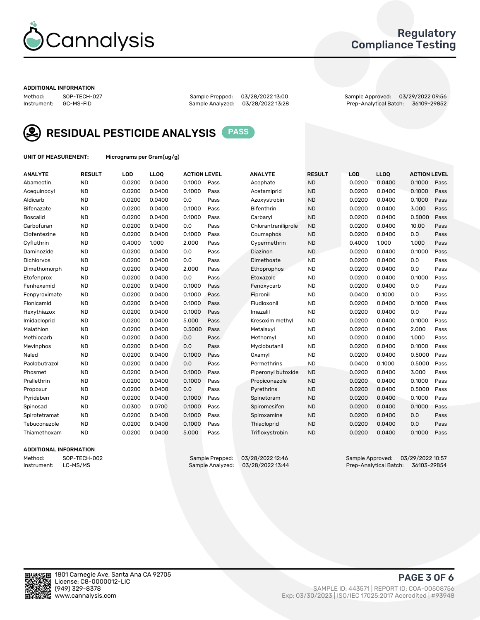

### Regulatory Compliance Testing

#### ADDITIONAL INFORMATION

Method: SOP-TECH-027 Sample Prepped: 03/28/2022 13:00 Sample Approved: 03/29/2022 09:56 Prep-Analytical Batch: 36109-29852



RESIDUAL PESTICIDE ANALYSIS PASS

UNIT OF MEASUREMENT: Micrograms per Gram(ug/g)

| <b>ANALYTE</b>  | <b>RESULT</b> | LOD    | LLOQ   | <b>ACTION LEVEL</b> |      | <b>ANALYTE</b>      | <b>RESULT</b> | LOD    | <b>LLOQ</b> | <b>ACTION LEVEL</b> |      |
|-----------------|---------------|--------|--------|---------------------|------|---------------------|---------------|--------|-------------|---------------------|------|
| Abamectin       | <b>ND</b>     | 0.0200 | 0.0400 | 0.1000              | Pass | Acephate            | <b>ND</b>     | 0.0200 | 0.0400      | 0.1000              | Pass |
| Acequinocyl     | <b>ND</b>     | 0.0200 | 0.0400 | 0.1000              | Pass | Acetamiprid         | <b>ND</b>     | 0.0200 | 0.0400      | 0.1000              | Pass |
| Aldicarb        | <b>ND</b>     | 0.0200 | 0.0400 | 0.0                 | Pass | Azoxystrobin        | <b>ND</b>     | 0.0200 | 0.0400      | 0.1000              | Pass |
| Bifenazate      | <b>ND</b>     | 0.0200 | 0.0400 | 0.1000              | Pass | <b>Bifenthrin</b>   | <b>ND</b>     | 0.0200 | 0.0400      | 3.000               | Pass |
| <b>Boscalid</b> | <b>ND</b>     | 0.0200 | 0.0400 | 0.1000              | Pass | Carbaryl            | <b>ND</b>     | 0.0200 | 0.0400      | 0.5000              | Pass |
| Carbofuran      | <b>ND</b>     | 0.0200 | 0.0400 | 0.0                 | Pass | Chlorantraniliprole | <b>ND</b>     | 0.0200 | 0.0400      | 10.00               | Pass |
| Clofentezine    | <b>ND</b>     | 0.0200 | 0.0400 | 0.1000              | Pass | Coumaphos           | <b>ND</b>     | 0.0200 | 0.0400      | 0.0                 | Pass |
| Cyfluthrin      | <b>ND</b>     | 0.4000 | 1.000  | 2.000               | Pass | Cypermethrin        | <b>ND</b>     | 0.4000 | 1.000       | 1.000               | Pass |
| Daminozide      | <b>ND</b>     | 0.0200 | 0.0400 | 0.0                 | Pass | Diazinon            | <b>ND</b>     | 0.0200 | 0.0400      | 0.1000              | Pass |
| Dichlorvos      | <b>ND</b>     | 0.0200 | 0.0400 | 0.0                 | Pass | Dimethoate          | <b>ND</b>     | 0.0200 | 0.0400      | 0.0                 | Pass |
| Dimethomorph    | <b>ND</b>     | 0.0200 | 0.0400 | 2.000               | Pass | <b>Ethoprophos</b>  | <b>ND</b>     | 0.0200 | 0.0400      | 0.0                 | Pass |
| Etofenprox      | <b>ND</b>     | 0.0200 | 0.0400 | 0.0                 | Pass | Etoxazole           | <b>ND</b>     | 0.0200 | 0.0400      | 0.1000              | Pass |
| Fenhexamid      | <b>ND</b>     | 0.0200 | 0.0400 | 0.1000              | Pass | Fenoxycarb          | <b>ND</b>     | 0.0200 | 0.0400      | 0.0                 | Pass |
| Fenpyroximate   | <b>ND</b>     | 0.0200 | 0.0400 | 0.1000              | Pass | Fipronil            | <b>ND</b>     | 0.0400 | 0.1000      | 0.0                 | Pass |
| Flonicamid      | <b>ND</b>     | 0.0200 | 0.0400 | 0.1000              | Pass | Fludioxonil         | <b>ND</b>     | 0.0200 | 0.0400      | 0.1000              | Pass |
| Hexythiazox     | <b>ND</b>     | 0.0200 | 0.0400 | 0.1000              | Pass | Imazalil            | <b>ND</b>     | 0.0200 | 0.0400      | 0.0                 | Pass |
| Imidacloprid    | <b>ND</b>     | 0.0200 | 0.0400 | 5.000               | Pass | Kresoxim methyl     | <b>ND</b>     | 0.0200 | 0.0400      | 0.1000              | Pass |
| Malathion       | <b>ND</b>     | 0.0200 | 0.0400 | 0.5000              | Pass | Metalaxyl           | <b>ND</b>     | 0.0200 | 0.0400      | 2.000               | Pass |
| Methiocarb      | <b>ND</b>     | 0.0200 | 0.0400 | 0.0                 | Pass | Methomyl            | <b>ND</b>     | 0.0200 | 0.0400      | 1.000               | Pass |
| Mevinphos       | <b>ND</b>     | 0.0200 | 0.0400 | 0.0                 | Pass | Myclobutanil        | <b>ND</b>     | 0.0200 | 0.0400      | 0.1000              | Pass |
| Naled           | <b>ND</b>     | 0.0200 | 0.0400 | 0.1000              | Pass | Oxamyl              | <b>ND</b>     | 0.0200 | 0.0400      | 0.5000              | Pass |
| Paclobutrazol   | <b>ND</b>     | 0.0200 | 0.0400 | 0.0                 | Pass | Permethrins         | <b>ND</b>     | 0.0400 | 0.1000      | 0.5000              | Pass |
| Phosmet         | <b>ND</b>     | 0.0200 | 0.0400 | 0.1000              | Pass | Piperonyl butoxide  | <b>ND</b>     | 0.0200 | 0.0400      | 3.000               | Pass |
| Prallethrin     | <b>ND</b>     | 0.0200 | 0.0400 | 0.1000              | Pass | Propiconazole       | <b>ND</b>     | 0.0200 | 0.0400      | 0.1000              | Pass |
| Propoxur        | <b>ND</b>     | 0.0200 | 0.0400 | 0.0                 | Pass | Pyrethrins          | <b>ND</b>     | 0.0200 | 0.0400      | 0.5000              | Pass |
| Pyridaben       | <b>ND</b>     | 0.0200 | 0.0400 | 0.1000              | Pass | Spinetoram          | <b>ND</b>     | 0.0200 | 0.0400      | 0.1000              | Pass |
| Spinosad        | <b>ND</b>     | 0.0300 | 0.0700 | 0.1000              | Pass | Spiromesifen        | <b>ND</b>     | 0.0200 | 0.0400      | 0.1000              | Pass |
| Spirotetramat   | <b>ND</b>     | 0.0200 | 0.0400 | 0.1000              | Pass | Spiroxamine         | <b>ND</b>     | 0.0200 | 0.0400      | 0.0                 | Pass |
| Tebuconazole    | <b>ND</b>     | 0.0200 | 0.0400 | 0.1000              | Pass | Thiacloprid         | <b>ND</b>     | 0.0200 | 0.0400      | 0.0                 | Pass |
| Thiamethoxam    | <b>ND</b>     | 0.0200 | 0.0400 | 5.000               | Pass | Trifloxystrobin     | <b>ND</b>     | 0.0200 | 0.0400      | 0.1000              | Pass |
|                 |               |        |        |                     |      |                     |               |        |             |                     |      |

### ADDITIONAL INFORMATION

Method: SOP-TECH-002 Sample Prepped: 03/28/2022 12:46 Sample Approved: 03/29/2022 10:57<br>Sample Analyzed: 03/28/2022 13:44 Prep-Analytical Batch: 36103-29854 Prep-Analytical Batch: 36103-29854

PAGE 3 OF 6

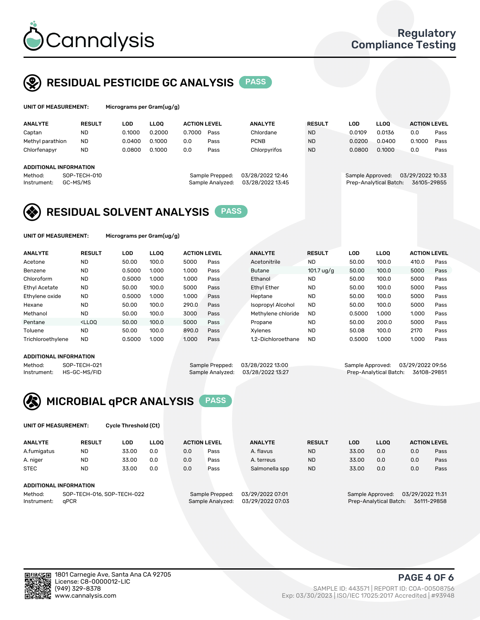

### RESIDUAL PESTICIDE GC ANALYSIS PASS

| UNIT OF MEASUREMENT: |               | Micrograms per Gram(ug/g) |        |                     |      |                |               |        |             |                     |      |  |  |
|----------------------|---------------|---------------------------|--------|---------------------|------|----------------|---------------|--------|-------------|---------------------|------|--|--|
| <b>ANALYTE</b>       | <b>RESULT</b> | LOD                       | LLOO   | <b>ACTION LEVEL</b> |      | <b>ANALYTE</b> | <b>RESULT</b> | LOD    | <b>LLOO</b> | <b>ACTION LEVEL</b> |      |  |  |
| Captan               | <b>ND</b>     | 0.1000                    | 0.2000 | 0.7000              | Pass | Chlordane      | <b>ND</b>     | 0.0109 | 0.0136      | 0.0                 | Pass |  |  |
| Methyl parathion     | <b>ND</b>     | 0.0400                    | 0.1000 | 0.0                 | Pass | <b>PCNB</b>    | <b>ND</b>     | 0.0200 | 0.0400      | 0.1000              | Pass |  |  |
| Chlorfenapyr         | <b>ND</b>     | 0.0800                    | 0.1000 | 0.0                 | Pass | Chlorpyrifos   | <b>ND</b>     | 0.0800 | 0.1000      | 0.0                 | Pass |  |  |

#### ADDITIONAL INFORMATION

| repped:  | 03/28/2022 12:46 |  |
|----------|------------------|--|
| nalyzed: | 03/28/2022 13:45 |  |
|          |                  |  |

Method: SOP-TECH-010 Sample Prepped: 03/28/2022 12:46 Sample Approved: 03/29/2022 10:33 Instrument: GC-MS/MS Sample Analyzed: 03/28/2022 13:45 Prep-Analytical Batch: 36105-29855



UNIT OF MEASUREMENT: Micrograms per Gram(ug/g)

| <b>ANALYTE</b>    | <b>RESULT</b>                                                                                                                                                       | LOD    | <b>LLOO</b> | <b>ACTION LEVEL</b> |      | <b>ANALYTE</b>     | <b>RESULT</b> | <b>LOD</b> | <b>LLOO</b> | <b>ACTION LEVEL</b> |      |
|-------------------|---------------------------------------------------------------------------------------------------------------------------------------------------------------------|--------|-------------|---------------------|------|--------------------|---------------|------------|-------------|---------------------|------|
| Acetone           | <b>ND</b>                                                                                                                                                           | 50.00  | 100.0       | 5000                | Pass | Acetonitrile       | <b>ND</b>     | 50.00      | 100.0       | 410.0               | Pass |
| Benzene           | <b>ND</b>                                                                                                                                                           | 0.5000 | 1.000       | 1.000               | Pass | <b>Butane</b>      | 101.7 ug/g    | 50.00      | 100.0       | 5000                | Pass |
| Chloroform        | <b>ND</b>                                                                                                                                                           | 0.5000 | 1.000       | 1.000               | Pass | Ethanol            | <b>ND</b>     | 50.00      | 100.0       | 5000                | Pass |
| Ethyl Acetate     | <b>ND</b>                                                                                                                                                           | 50.00  | 100.0       | 5000                | Pass | <b>Ethyl Ether</b> | <b>ND</b>     | 50.00      | 100.0       | 5000                | Pass |
| Ethylene oxide    | <b>ND</b>                                                                                                                                                           | 0.5000 | 1.000       | 1.000               | Pass | Heptane            | <b>ND</b>     | 50.00      | 100.0       | 5000                | Pass |
| Hexane            | <b>ND</b>                                                                                                                                                           | 50.00  | 100.0       | 290.0               | Pass | Isopropyl Alcohol  | <b>ND</b>     | 50.00      | 100.0       | 5000                | Pass |
| Methanol          | <b>ND</b>                                                                                                                                                           | 50.00  | 100.0       | 3000                | Pass | Methylene chloride | <b>ND</b>     | 0.5000     | 1.000       | 1.000               | Pass |
| Pentane           | <lloo< td=""><td>50.00</td><td>100.0</td><td>5000</td><td>Pass</td><td>Propane</td><td><b>ND</b></td><td>50.00</td><td>200.0</td><td>5000</td><td>Pass</td></lloo<> | 50.00  | 100.0       | 5000                | Pass | Propane            | <b>ND</b>     | 50.00      | 200.0       | 5000                | Pass |
| Toluene           | <b>ND</b>                                                                                                                                                           | 50.00  | 100.0       | 890.0               | Pass | Xvlenes            | <b>ND</b>     | 50.08      | 100.0       | 2170                | Pass |
| Trichloroethylene | <b>ND</b>                                                                                                                                                           | 0.5000 | 1.000       | 1.000               | Pass | 1.2-Dichloroethane | <b>ND</b>     | 0.5000     | 1.000       | 1.000               | Pass |
|                   |                                                                                                                                                                     |        |             |                     |      |                    |               |            |             |                     |      |

### ADDITIONAL INFORMATION

Method: SOP-TECH-021 Sample Prepped: 03/28/2022 13:00 Sample Approved: 03/29/2022 09:56<br>Sample Analyzed: 03/28/2022 13:27 Prep-Analytical Batch: 36108-29851 Prep-Analytical Batch: 36108-29851



UNIT OF MEASUREMENT: Cycle Threshold (Ct)

| <b>ANALYTE</b>                        | <b>RESULT</b>          | LOD   | <b>LLOO</b> | <b>ACTION LEVEL</b> |                 | <b>ANALYTE</b>   | <b>RESULT</b> | <b>LOD</b> | <b>LLOO</b>      | <b>ACTION LEVEL</b> |      |
|---------------------------------------|------------------------|-------|-------------|---------------------|-----------------|------------------|---------------|------------|------------------|---------------------|------|
| A.fumigatus                           | <b>ND</b>              | 33.00 | 0.0         | 0.0                 | Pass            | A. flavus        | <b>ND</b>     | 33.00      | 0.0              | 0.0                 | Pass |
| A. niger                              | <b>ND</b>              | 33.00 | 0.0         | 0.0                 | Pass            | A. terreus       | <b>ND</b>     | 33.00      | 0.0              | 0.0                 | Pass |
| <b>STEC</b>                           | <b>ND</b>              | 33.00 | 0.0         | 0.0                 | Pass            | Salmonella spp   | <b>ND</b>     | 33.00      | 0.0              | 0.0                 | Pass |
|                                       | ADDITIONAL INFORMATION |       |             |                     |                 |                  |               |            |                  |                     |      |
| SOP-TECH-016, SOP-TECH-022<br>Method: |                        |       |             |                     | Sample Prepped: | 03/29/2022 07:01 |               |            | Sample Approved: | 03/29/2022 11:31    |      |

Instrument: qPCR Sample Analyzed: 03/29/2022 07:03 Prep-Analytical Batch: 36111-29858

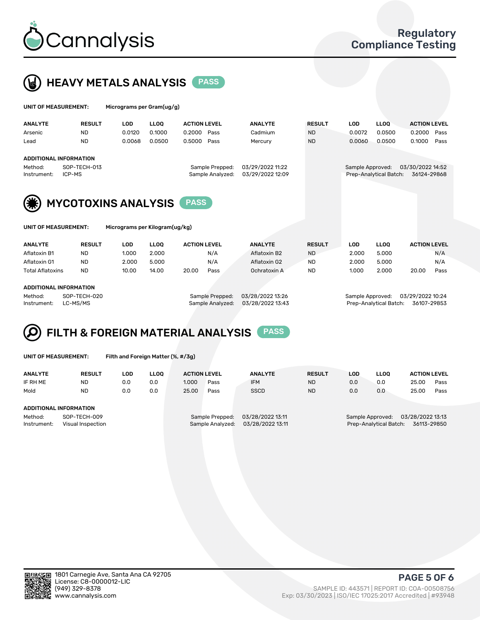



| <b>UNIT OF MEASUREMENT:</b> |               | Micrograms per Gram(ug/g) |             |                     |                |               |        |             |                     |      |  |
|-----------------------------|---------------|---------------------------|-------------|---------------------|----------------|---------------|--------|-------------|---------------------|------|--|
| ANALYTE                     | <b>RESULT</b> | LOD                       | <b>LLOO</b> | <b>ACTION LEVEL</b> | <b>ANALYTE</b> | <b>RESULT</b> | LOD    | <b>LLOO</b> | <b>ACTION LEVEL</b> |      |  |
| Arsenic                     | <b>ND</b>     | 0.0120                    | 0.1000      | 0.2000 Pass         | Cadmium        | <b>ND</b>     | 0.0072 | 0.0500      | 0.2000 Pass         |      |  |
| Lead                        | <b>ND</b>     | 0.0068                    | 0.0500      | 0.5000 Pass         | Mercury        | <b>ND</b>     | 0.0060 | 0.0500      | 0.1000              | Pass |  |
| ADDITIONAL INFORMATION      |               |                           |             |                     |                |               |        |             |                     |      |  |

Method: SOP-TECH-013 Sample Prepped: 03/29/2022 11:22 Sample Approved: 03/30/2022 14:52 Instrument: ICP-MS Sample Analyzed: 03/29/2022 12:09 Prep-Analytical Batch: 36124-29868

MYCOTOXINS ANALYSIS PASS



UNIT OF MEASUREMENT: Micrograms per Kilogram(ug/kg)

| <b>ANALYTE</b>          | <b>RESULT</b> | LOD   | <b>LLOO</b> | <b>ACTION LEVEL</b> |      | <b>ANALYTE</b> | <b>RESULT</b> | LOD   | <b>LLOO</b> | <b>ACTION LEVEL</b> |      |
|-------------------------|---------------|-------|-------------|---------------------|------|----------------|---------------|-------|-------------|---------------------|------|
| Aflatoxin B1            | <b>ND</b>     | 1.000 | 2.000       |                     | N/A  | Aflatoxin B2   | <b>ND</b>     | 2.000 | 5.000       |                     | N/A  |
| Aflatoxin G1            | <b>ND</b>     | 2.000 | 5.000       |                     | N/A  | Aflatoxin G2   | <b>ND</b>     | 2.000 | 5.000       |                     | N/A  |
| <b>Total Aflatoxins</b> | <b>ND</b>     | 10.00 | 14.00       | 20.00               | Pass | Ochratoxin A   | <b>ND</b>     | 1.000 | 2.000       | 20.00               | Pass |
|                         |               |       |             |                     |      |                |               |       |             |                     |      |

#### ADDITIONAL INFORMATION

Method: SOP-TECH-020 Sample Prepped: 03/28/2022 13:26 Sample Approved: 03/29/2022 10:24 Instrument: LC-MS/MS Sample Analyzed: 03/28/2022 13:43 Prep-Analytical Batch: 36107-29853

## FILTH & FOREIGN MATERIAL ANALYSIS PASS

UNIT OF MEASUREMENT: Filth and Foreign Matter (%, #/3g)

| <b>ANALYTE</b>                                              | <b>RESULT</b> | LOD | <b>LLOO</b> | <b>ACTION LEVEL</b> |                                     | <b>ANALYTE</b>                       | <b>RESULT</b>                                                                 | LOD | <b>LLOO</b> | <b>ACTION LEVEL</b> |      |
|-------------------------------------------------------------|---------------|-----|-------------|---------------------|-------------------------------------|--------------------------------------|-------------------------------------------------------------------------------|-----|-------------|---------------------|------|
| IF RH ME                                                    | <b>ND</b>     | 0.0 | 0.0         | 1.000               | Pass                                | <b>IFM</b>                           | <b>ND</b>                                                                     | 0.0 | 0.0         | 25.00               | Pass |
| Mold                                                        | <b>ND</b>     | 0.0 | 0.0         | 25.00               | Pass                                | <b>SSCD</b>                          | <b>ND</b>                                                                     | 0.0 | 0.0         | 25.00               | Pass |
| ADDITIONAL INFORMATION                                      |               |     |             |                     |                                     |                                      |                                                                               |     |             |                     |      |
| Method:<br>SOP-TECH-009<br>Instrument:<br>Visual Inspection |               |     |             |                     | Sample Prepped:<br>Sample Analyzed: | 03/28/2022 13:11<br>03/28/2022 13:11 | 03/28/2022 13:13<br>Sample Approved:<br>36113-29850<br>Prep-Analytical Batch: |     |             |                     |      |



PAGE 5 OF 6